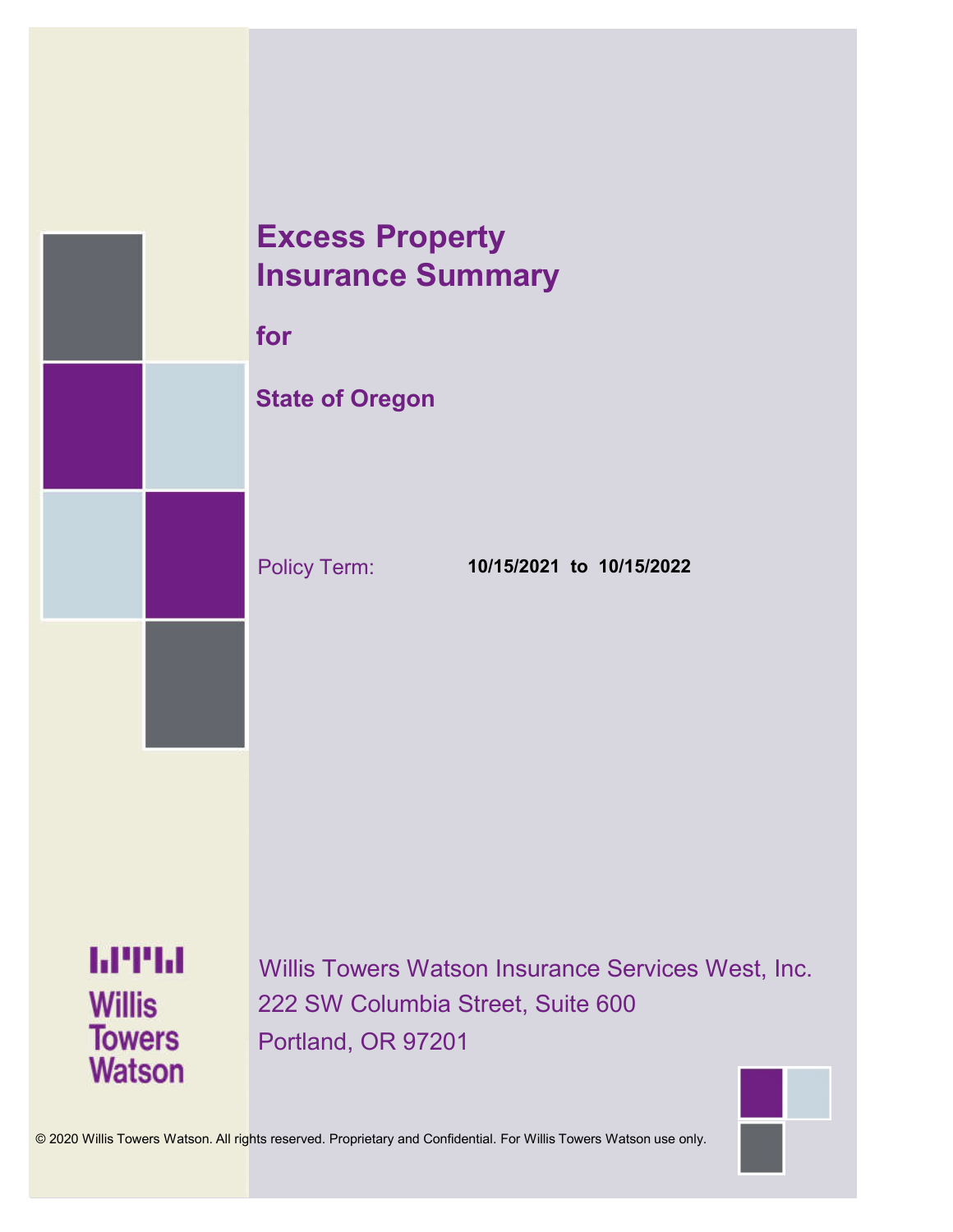



© 2020 Willis Towers Watson. All rights reserved. Proprietary and Confidential. For Willis Towers Watson use only.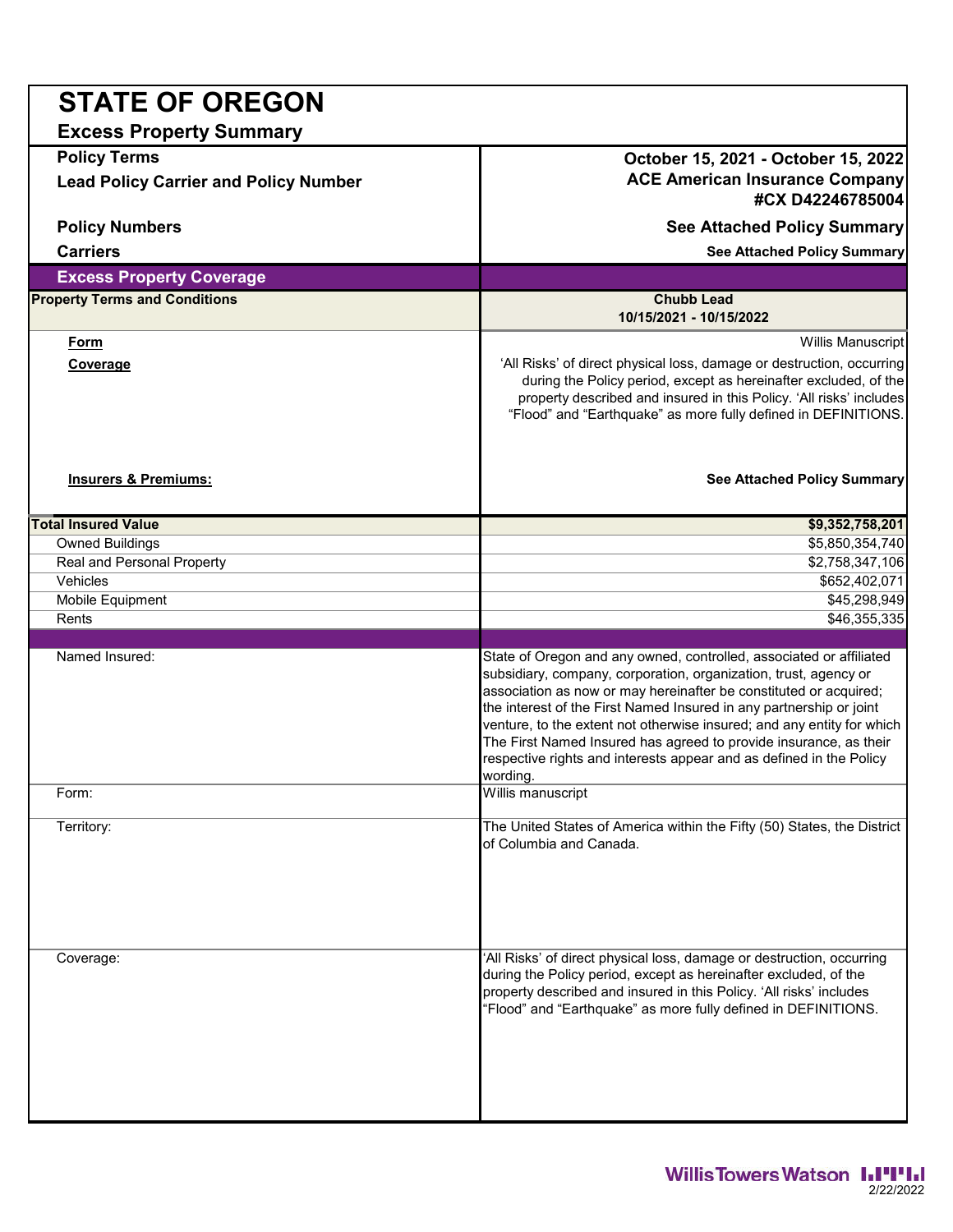| <b>STATE OF OREGON</b>                                              |                                                                                                                                                                                                                                                                                                                                                                                                                                                                                                                       |  |  |
|---------------------------------------------------------------------|-----------------------------------------------------------------------------------------------------------------------------------------------------------------------------------------------------------------------------------------------------------------------------------------------------------------------------------------------------------------------------------------------------------------------------------------------------------------------------------------------------------------------|--|--|
| <b>Excess Property Summary</b>                                      |                                                                                                                                                                                                                                                                                                                                                                                                                                                                                                                       |  |  |
| <b>Policy Terms</b><br><b>Lead Policy Carrier and Policy Number</b> | October 15, 2021 - October 15, 2022<br><b>ACE American Insurance Company</b>                                                                                                                                                                                                                                                                                                                                                                                                                                          |  |  |
|                                                                     | #CX D42246785004                                                                                                                                                                                                                                                                                                                                                                                                                                                                                                      |  |  |
| <b>Policy Numbers</b>                                               | See Attached Policy Summary                                                                                                                                                                                                                                                                                                                                                                                                                                                                                           |  |  |
| <b>Carriers</b>                                                     | See Attached Policy Summary                                                                                                                                                                                                                                                                                                                                                                                                                                                                                           |  |  |
| <b>Excess Property Coverage</b>                                     |                                                                                                                                                                                                                                                                                                                                                                                                                                                                                                                       |  |  |
| <b>Property Terms and Conditions</b>                                | <b>Chubb Lead</b><br>10/15/2021 - 10/15/2022                                                                                                                                                                                                                                                                                                                                                                                                                                                                          |  |  |
| <u>Form</u>                                                         | Willis Manuscript                                                                                                                                                                                                                                                                                                                                                                                                                                                                                                     |  |  |
| <b>Coverage</b>                                                     | 'All Risks' of direct physical loss, damage or destruction, occurring<br>during the Policy period, except as hereinafter excluded, of the<br>property described and insured in this Policy. 'All risks' includes<br>"Flood" and "Earthquake" as more fully defined in DEFINITIONS.                                                                                                                                                                                                                                    |  |  |
| <b>Insurers &amp; Premiums:</b>                                     | See Attached Policy Summary                                                                                                                                                                                                                                                                                                                                                                                                                                                                                           |  |  |
| <b>Total Insured Value</b>                                          | \$9,352,758,201                                                                                                                                                                                                                                                                                                                                                                                                                                                                                                       |  |  |
| <b>Owned Buildings</b>                                              | \$5,850,354,740                                                                                                                                                                                                                                                                                                                                                                                                                                                                                                       |  |  |
| <b>Real and Personal Property</b>                                   | \$2,758,347,106                                                                                                                                                                                                                                                                                                                                                                                                                                                                                                       |  |  |
| Vehicles                                                            | \$652,402,071                                                                                                                                                                                                                                                                                                                                                                                                                                                                                                         |  |  |
| Mobile Equipment                                                    | \$45,298,949                                                                                                                                                                                                                                                                                                                                                                                                                                                                                                          |  |  |
| Rents                                                               | \$46,355,335                                                                                                                                                                                                                                                                                                                                                                                                                                                                                                          |  |  |
| Named Insured:                                                      | State of Oregon and any owned, controlled, associated or affiliated<br>subsidiary, company, corporation, organization, trust, agency or<br>association as now or may hereinafter be constituted or acquired;<br>the interest of the First Named Insured in any partnership or joint<br>venture, to the extent not otherwise insured; and any entity for which<br>The First Named Insured has agreed to provide insurance, as their<br>respective rights and interests appear and as defined in the Policy<br>wording. |  |  |
| Form:                                                               | Willis manuscript                                                                                                                                                                                                                                                                                                                                                                                                                                                                                                     |  |  |
| Territory:                                                          | The United States of America within the Fifty (50) States, the District<br>of Columbia and Canada.                                                                                                                                                                                                                                                                                                                                                                                                                    |  |  |
| Coverage:                                                           | 'All Risks' of direct physical loss, damage or destruction, occurring<br>during the Policy period, except as hereinafter excluded, of the<br>property described and insured in this Policy. 'All risks' includes<br>"Flood" and "Earthquake" as more fully defined in DEFINITIONS.                                                                                                                                                                                                                                    |  |  |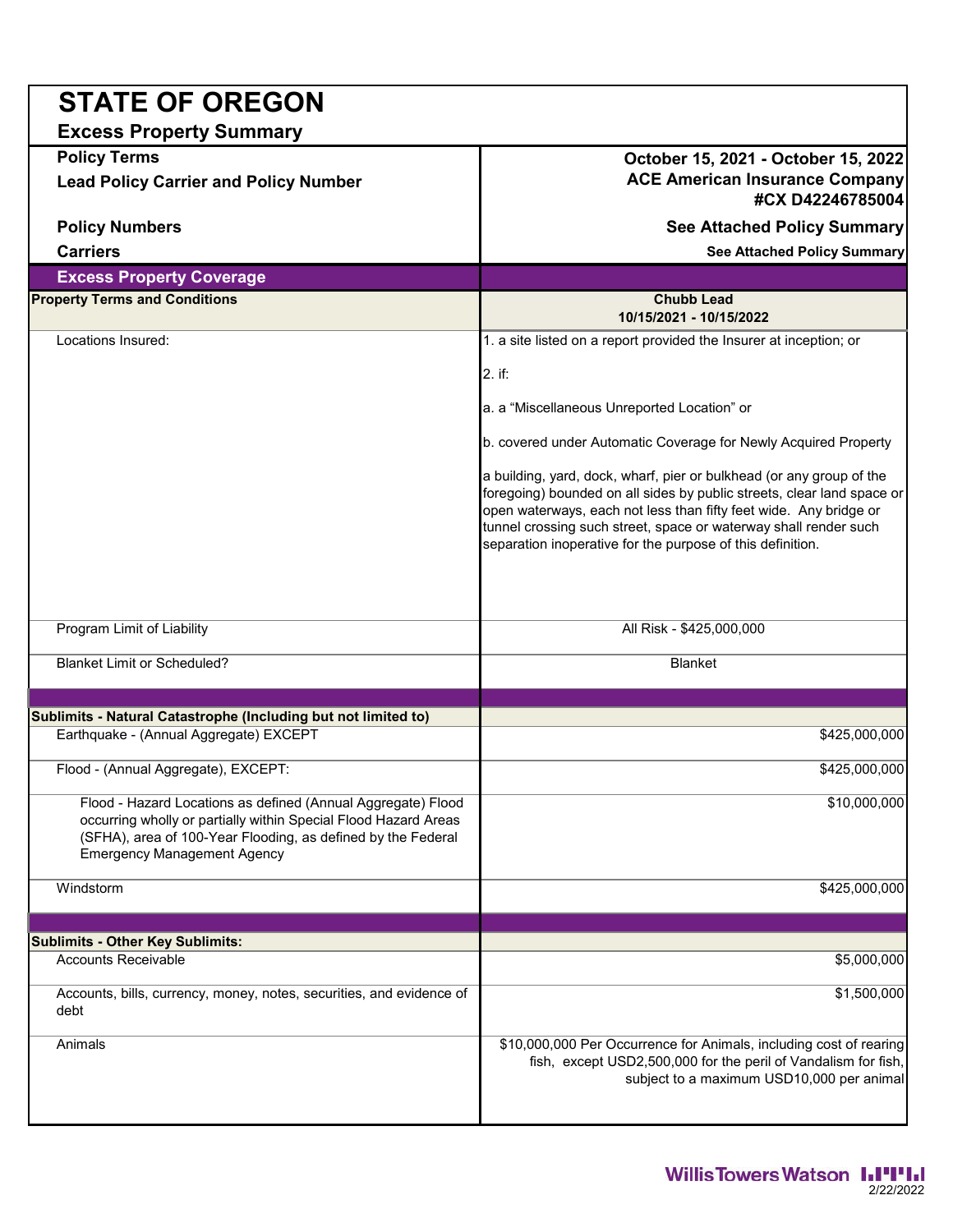| <b>STATE OF OREGON</b>                                                                                                                                                                                                                |                                                                                                                                                                                                                                                                                                                                                       |  |
|---------------------------------------------------------------------------------------------------------------------------------------------------------------------------------------------------------------------------------------|-------------------------------------------------------------------------------------------------------------------------------------------------------------------------------------------------------------------------------------------------------------------------------------------------------------------------------------------------------|--|
| <b>Excess Property Summary</b>                                                                                                                                                                                                        |                                                                                                                                                                                                                                                                                                                                                       |  |
| <b>Policy Terms</b><br><b>Lead Policy Carrier and Policy Number</b>                                                                                                                                                                   | October 15, 2021 - October 15, 2022<br><b>ACE American Insurance Company</b><br>#CX D42246785004                                                                                                                                                                                                                                                      |  |
| <b>Policy Numbers</b>                                                                                                                                                                                                                 | See Attached Policy Summary                                                                                                                                                                                                                                                                                                                           |  |
| <b>Carriers</b>                                                                                                                                                                                                                       | <b>See Attached Policy Summary</b>                                                                                                                                                                                                                                                                                                                    |  |
| <b>Excess Property Coverage</b>                                                                                                                                                                                                       |                                                                                                                                                                                                                                                                                                                                                       |  |
| <b>Property Terms and Conditions</b>                                                                                                                                                                                                  | <b>Chubb Lead</b><br>10/15/2021 - 10/15/2022                                                                                                                                                                                                                                                                                                          |  |
| Locations Insured:                                                                                                                                                                                                                    | 1. a site listed on a report provided the Insurer at inception; or                                                                                                                                                                                                                                                                                    |  |
|                                                                                                                                                                                                                                       | 2. if:                                                                                                                                                                                                                                                                                                                                                |  |
|                                                                                                                                                                                                                                       | a. a "Miscellaneous Unreported Location" or                                                                                                                                                                                                                                                                                                           |  |
|                                                                                                                                                                                                                                       | b. covered under Automatic Coverage for Newly Acquired Property                                                                                                                                                                                                                                                                                       |  |
|                                                                                                                                                                                                                                       | a building, yard, dock, wharf, pier or bulkhead (or any group of the<br>foregoing) bounded on all sides by public streets, clear land space or<br>open waterways, each not less than fifty feet wide. Any bridge or<br>tunnel crossing such street, space or waterway shall render such<br>separation inoperative for the purpose of this definition. |  |
| Program Limit of Liability                                                                                                                                                                                                            | All Risk - \$425,000,000                                                                                                                                                                                                                                                                                                                              |  |
| <b>Blanket Limit or Scheduled?</b>                                                                                                                                                                                                    | <b>Blanket</b>                                                                                                                                                                                                                                                                                                                                        |  |
|                                                                                                                                                                                                                                       |                                                                                                                                                                                                                                                                                                                                                       |  |
| Sublimits - Natural Catastrophe (Including but not limited to)                                                                                                                                                                        |                                                                                                                                                                                                                                                                                                                                                       |  |
| Earthquake - (Annual Aggregate) EXCEPT                                                                                                                                                                                                | \$425,000,000                                                                                                                                                                                                                                                                                                                                         |  |
| Flood - (Annual Aggregate), EXCEPT:                                                                                                                                                                                                   | \$425,000,000                                                                                                                                                                                                                                                                                                                                         |  |
| Flood - Hazard Locations as defined (Annual Aggregate) Flood<br>occurring wholly or partially within Special Flood Hazard Areas<br>(SFHA), area of 100-Year Flooding, as defined by the Federal<br><b>Emergency Management Agency</b> | \$10,000,000                                                                                                                                                                                                                                                                                                                                          |  |
| Windstorm                                                                                                                                                                                                                             | \$425,000,000                                                                                                                                                                                                                                                                                                                                         |  |
|                                                                                                                                                                                                                                       |                                                                                                                                                                                                                                                                                                                                                       |  |
| <b>Sublimits - Other Key Sublimits:</b>                                                                                                                                                                                               |                                                                                                                                                                                                                                                                                                                                                       |  |
| <b>Accounts Receivable</b>                                                                                                                                                                                                            | \$5,000,000                                                                                                                                                                                                                                                                                                                                           |  |
| Accounts, bills, currency, money, notes, securities, and evidence of<br>debt                                                                                                                                                          | \$1,500,000                                                                                                                                                                                                                                                                                                                                           |  |
| Animals                                                                                                                                                                                                                               | \$10,000,000 Per Occurrence for Animals, including cost of rearing<br>fish, except USD2,500,000 for the peril of Vandalism for fish,<br>subject to a maximum USD10,000 per animal                                                                                                                                                                     |  |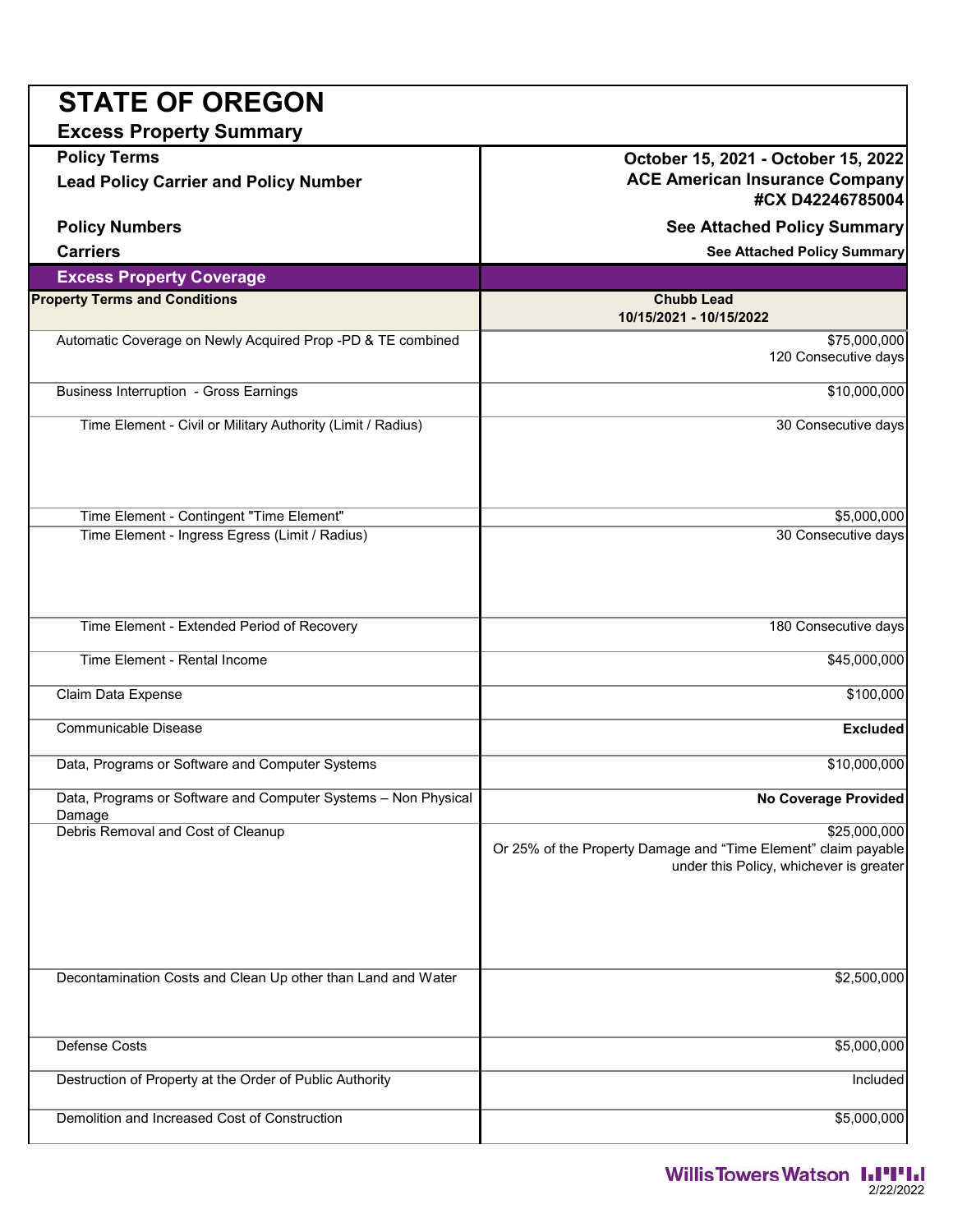| <b>STATE OF OREGON</b>                                                   |                                                                                                                           |
|--------------------------------------------------------------------------|---------------------------------------------------------------------------------------------------------------------------|
| <b>Excess Property Summary</b>                                           |                                                                                                                           |
| <b>Policy Terms</b>                                                      | October 15, 2021 - October 15, 2022                                                                                       |
| <b>Lead Policy Carrier and Policy Number</b>                             | <b>ACE American Insurance Company</b><br>#CX D42246785004                                                                 |
| <b>Policy Numbers</b>                                                    | <b>See Attached Policy Summary</b>                                                                                        |
| <b>Carriers</b>                                                          | <b>See Attached Policy Summary</b>                                                                                        |
| <b>Excess Property Coverage</b>                                          |                                                                                                                           |
| <b>Property Terms and Conditions</b>                                     | <b>Chubb Lead</b><br>10/15/2021 - 10/15/2022                                                                              |
| Automatic Coverage on Newly Acquired Prop -PD & TE combined              | \$75,000,000<br>120 Consecutive days                                                                                      |
| <b>Business Interruption - Gross Earnings</b>                            | \$10,000,000                                                                                                              |
| Time Element - Civil or Military Authority (Limit / Radius)              | 30 Consecutive days                                                                                                       |
| Time Element - Contingent "Time Element"                                 | \$5,000,000                                                                                                               |
| Time Element - Ingress Egress (Limit / Radius)                           | 30 Consecutive days                                                                                                       |
| Time Element - Extended Period of Recovery                               | 180 Consecutive days                                                                                                      |
| <b>Time Element - Rental Income</b>                                      | \$45,000,000                                                                                                              |
| Claim Data Expense                                                       | \$100,000                                                                                                                 |
| Communicable Disease                                                     | <b>Excluded</b>                                                                                                           |
| Data, Programs or Software and Computer Systems                          | \$10,000,000                                                                                                              |
| Data, Programs or Software and Computer Systems - Non Physical<br>Damage | <b>No Coverage Provided</b>                                                                                               |
| Debris Removal and Cost of Cleanup                                       | \$25,000,000<br>Or 25% of the Property Damage and "Time Element" claim payable<br>under this Policy, whichever is greater |
| Decontamination Costs and Clean Up other than Land and Water             | \$2,500,000                                                                                                               |
| <b>Defense Costs</b>                                                     | \$5,000,000                                                                                                               |
| Destruction of Property at the Order of Public Authority                 | Included                                                                                                                  |
| Demolition and Increased Cost of Construction                            | \$5,000,000                                                                                                               |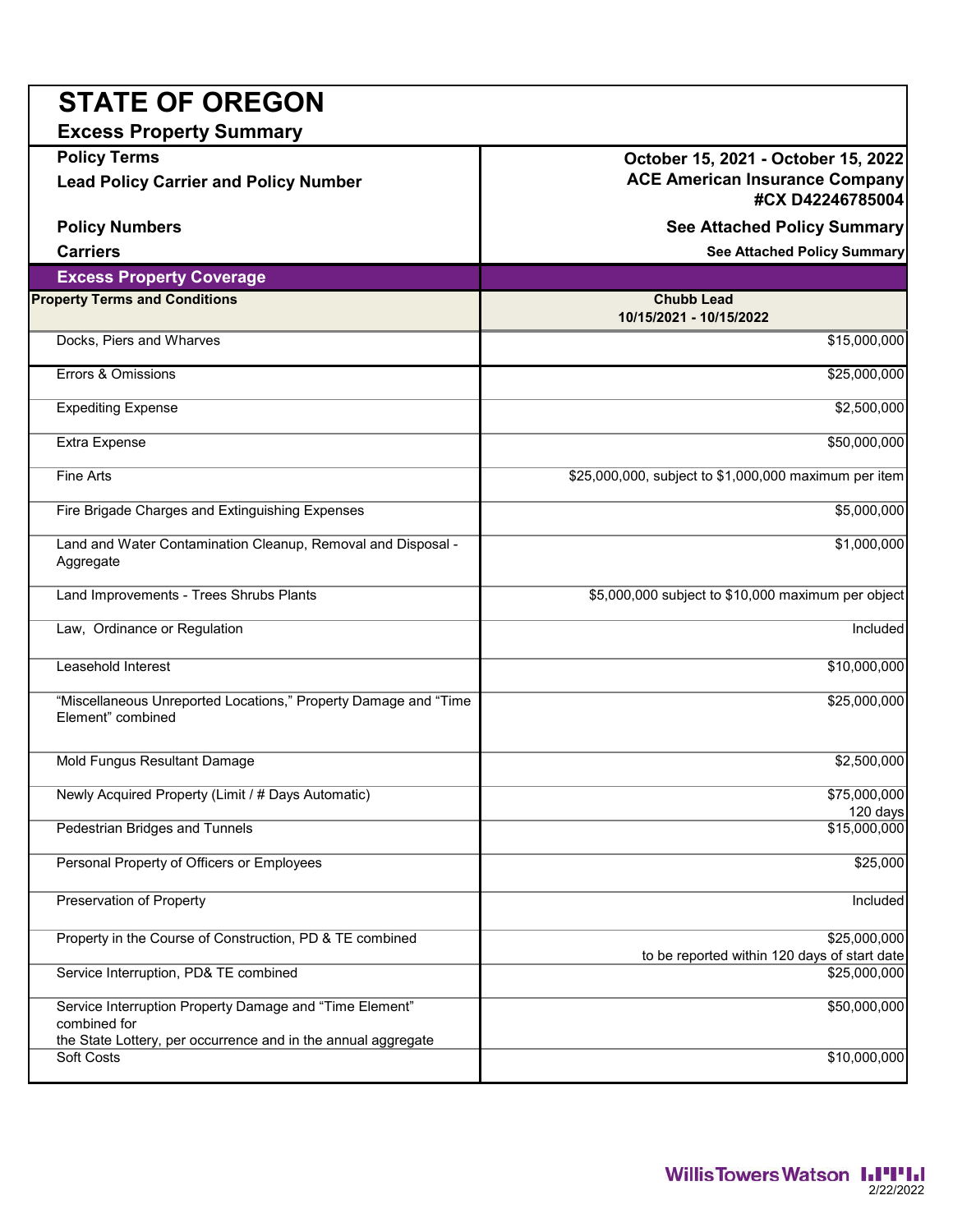| <b>STATE OF OREGON</b>                                                                                                                   |                                                                                                  |
|------------------------------------------------------------------------------------------------------------------------------------------|--------------------------------------------------------------------------------------------------|
| <b>Excess Property Summary</b>                                                                                                           |                                                                                                  |
| <b>Policy Terms</b><br><b>Lead Policy Carrier and Policy Number</b>                                                                      | October 15, 2021 - October 15, 2022<br><b>ACE American Insurance Company</b><br>#CX D42246785004 |
| <b>Policy Numbers</b>                                                                                                                    | <b>See Attached Policy Summary</b>                                                               |
| <b>Carriers</b>                                                                                                                          | <b>See Attached Policy Summary</b>                                                               |
| <b>Excess Property Coverage</b>                                                                                                          |                                                                                                  |
| <b>Property Terms and Conditions</b>                                                                                                     | <b>Chubb Lead</b><br>10/15/2021 - 10/15/2022                                                     |
| Docks, Piers and Wharves                                                                                                                 | \$15,000,000                                                                                     |
| Errors & Omissions                                                                                                                       | \$25,000,000                                                                                     |
| <b>Expediting Expense</b>                                                                                                                | \$2,500,000                                                                                      |
| <b>Extra Expense</b>                                                                                                                     | \$50,000,000                                                                                     |
| Fine Arts                                                                                                                                | \$25,000,000, subject to \$1,000,000 maximum per item                                            |
| Fire Brigade Charges and Extinguishing Expenses                                                                                          | \$5,000,000                                                                                      |
| Land and Water Contamination Cleanup, Removal and Disposal -<br>Aggregate                                                                | \$1,000,000                                                                                      |
| Land Improvements - Trees Shrubs Plants                                                                                                  | \$5,000,000 subject to \$10,000 maximum per object                                               |
| Law, Ordinance or Regulation                                                                                                             | Included                                                                                         |
| Leasehold Interest                                                                                                                       | \$10,000,000                                                                                     |
| "Miscellaneous Unreported Locations," Property Damage and "Time<br>Element" combined                                                     | \$25,000,000                                                                                     |
| Mold Fungus Resultant Damage                                                                                                             | \$2,500,000                                                                                      |
| Newly Acquired Property (Limit / # Days Automatic)                                                                                       | \$75,000,000<br>120 days                                                                         |
| <b>Pedestrian Bridges and Tunnels</b>                                                                                                    | \$15,000,000                                                                                     |
| Personal Property of Officers or Employees                                                                                               | \$25,000                                                                                         |
| Preservation of Property                                                                                                                 | Included                                                                                         |
| Property in the Course of Construction, PD & TE combined                                                                                 | \$25,000,000<br>to be reported within 120 days of start date                                     |
| Service Interruption, PD& TE combined                                                                                                    | \$25,000,000                                                                                     |
| Service Interruption Property Damage and "Time Element"<br>combined for<br>the State Lottery, per occurrence and in the annual aggregate | \$50,000,000                                                                                     |
| Soft Costs                                                                                                                               | \$10,000,000                                                                                     |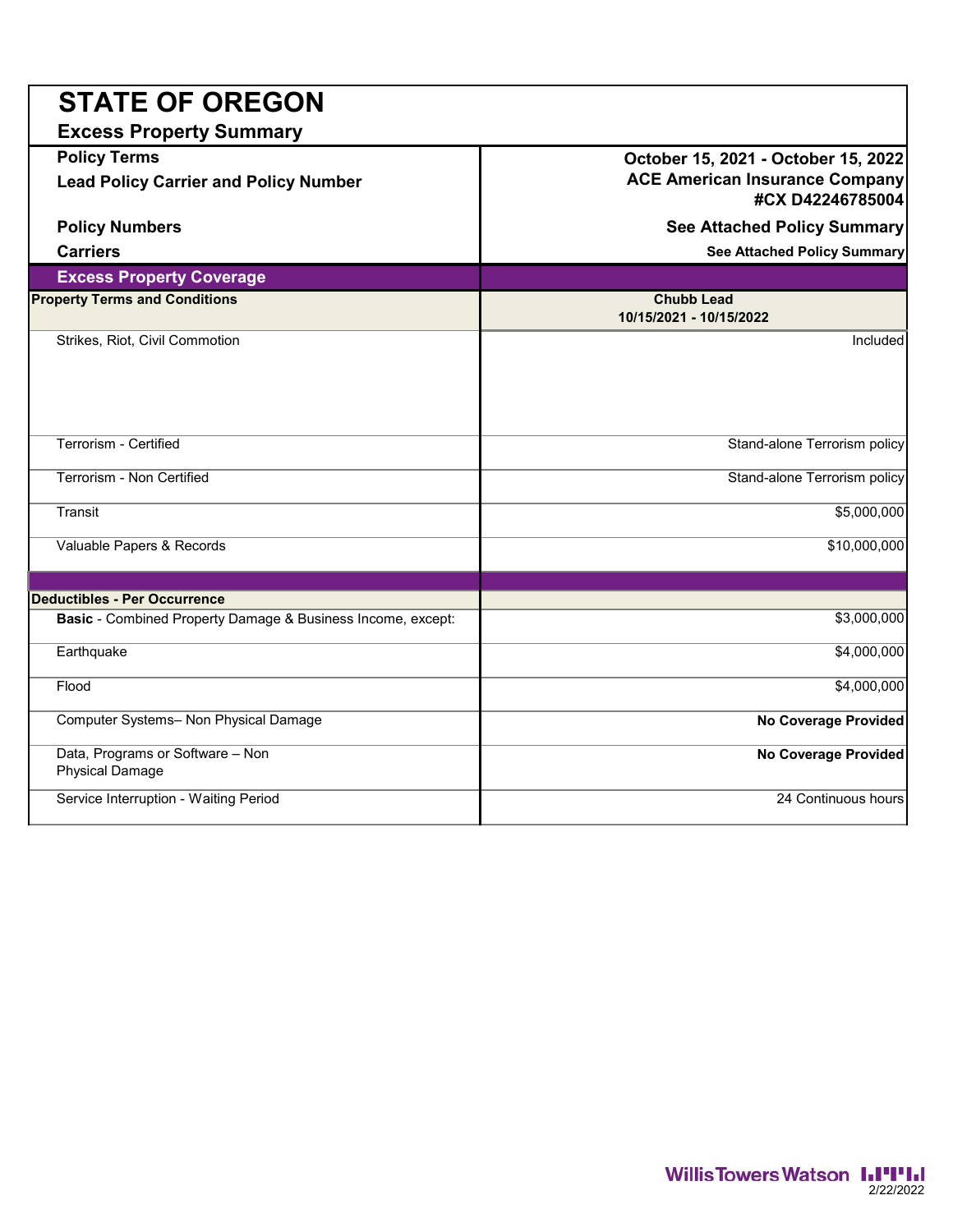| <b>STATE OF OREGON</b>                                              |                                                                                                  |  |  |
|---------------------------------------------------------------------|--------------------------------------------------------------------------------------------------|--|--|
| <b>Excess Property Summary</b>                                      |                                                                                                  |  |  |
| <b>Policy Terms</b><br><b>Lead Policy Carrier and Policy Number</b> | October 15, 2021 - October 15, 2022<br><b>ACE American Insurance Company</b><br>#CX D42246785004 |  |  |
| <b>Policy Numbers</b><br><b>See Attached Policy Summary</b>         |                                                                                                  |  |  |
| <b>Carriers</b>                                                     | <b>See Attached Policy Summary</b>                                                               |  |  |
| <b>Excess Property Coverage</b>                                     |                                                                                                  |  |  |
| <b>Property Terms and Conditions</b>                                | <b>Chubb Lead</b><br>10/15/2021 - 10/15/2022                                                     |  |  |
| Strikes, Riot, Civil Commotion                                      | Included                                                                                         |  |  |
| Terrorism - Certified                                               | Stand-alone Terrorism policy                                                                     |  |  |
| Terrorism - Non Certified                                           | Stand-alone Terrorism policy                                                                     |  |  |
| Transit                                                             | \$5,000,000                                                                                      |  |  |
| Valuable Papers & Records                                           | \$10,000,000                                                                                     |  |  |
| <b>Deductibles - Per Occurrence</b>                                 |                                                                                                  |  |  |
| Basic - Combined Property Damage & Business Income, except:         | \$3,000,000                                                                                      |  |  |
| Earthquake                                                          | \$4,000,000                                                                                      |  |  |
| Flood                                                               | \$4,000,000                                                                                      |  |  |
| Computer Systems- Non Physical Damage                               | <b>No Coverage Provided</b>                                                                      |  |  |
| Data, Programs or Software - Non<br><b>Physical Damage</b>          | <b>No Coverage Provided</b>                                                                      |  |  |
| Service Interruption - Waiting Period                               | 24 Continuous hours                                                                              |  |  |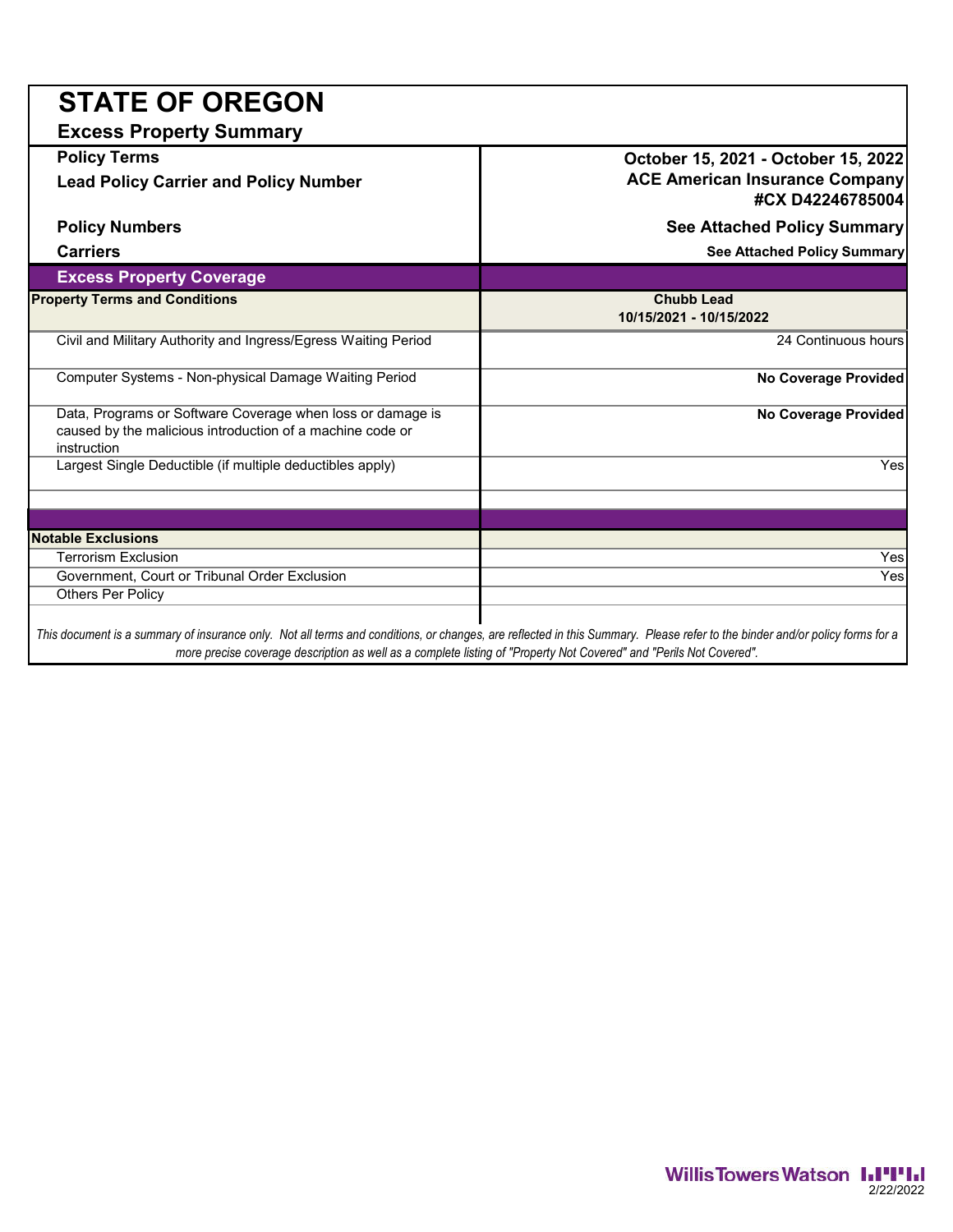| <b>STATE OF OREGON</b>                                                                                                                 |                                                                              |
|----------------------------------------------------------------------------------------------------------------------------------------|------------------------------------------------------------------------------|
| <b>Excess Property Summary</b>                                                                                                         |                                                                              |
| <b>Policy Terms</b><br><b>Lead Policy Carrier and Policy Number</b>                                                                    | October 15, 2021 - October 15, 2022<br><b>ACE American Insurance Company</b> |
|                                                                                                                                        | #CX D42246785004                                                             |
| <b>Policy Numbers</b>                                                                                                                  | <b>See Attached Policy Summary</b>                                           |
| <b>Carriers</b>                                                                                                                        | <b>See Attached Policy Summary</b>                                           |
| <b>Excess Property Coverage</b>                                                                                                        |                                                                              |
| <b>Property Terms and Conditions</b>                                                                                                   | <b>Chubb Lead</b><br>10/15/2021 - 10/15/2022                                 |
| Civil and Military Authority and Ingress/Egress Waiting Period                                                                         | 24 Continuous hours                                                          |
| Computer Systems - Non-physical Damage Waiting Period                                                                                  | <b>No Coverage Provided</b>                                                  |
| Data, Programs or Software Coverage when loss or damage is<br>caused by the malicious introduction of a machine code or<br>instruction | <b>No Coverage Provided</b>                                                  |
| Largest Single Deductible (if multiple deductibles apply)                                                                              | Yes                                                                          |
|                                                                                                                                        |                                                                              |
| <b>Notable Exclusions</b>                                                                                                              |                                                                              |
| <b>Terrorism Exclusion</b>                                                                                                             | Yes                                                                          |
| Government, Court or Tribunal Order Exclusion                                                                                          | Yes                                                                          |
| <b>Others Per Policy</b>                                                                                                               |                                                                              |
|                                                                                                                                        |                                                                              |

*This document is a summary of insurance only. Not all terms and conditions, or changes, are reflected in this Summary. Please refer to the binder and/or policy forms for a more precise coverage description as well as a complete listing of "Property Not Covered" and "Perils Not Covered".*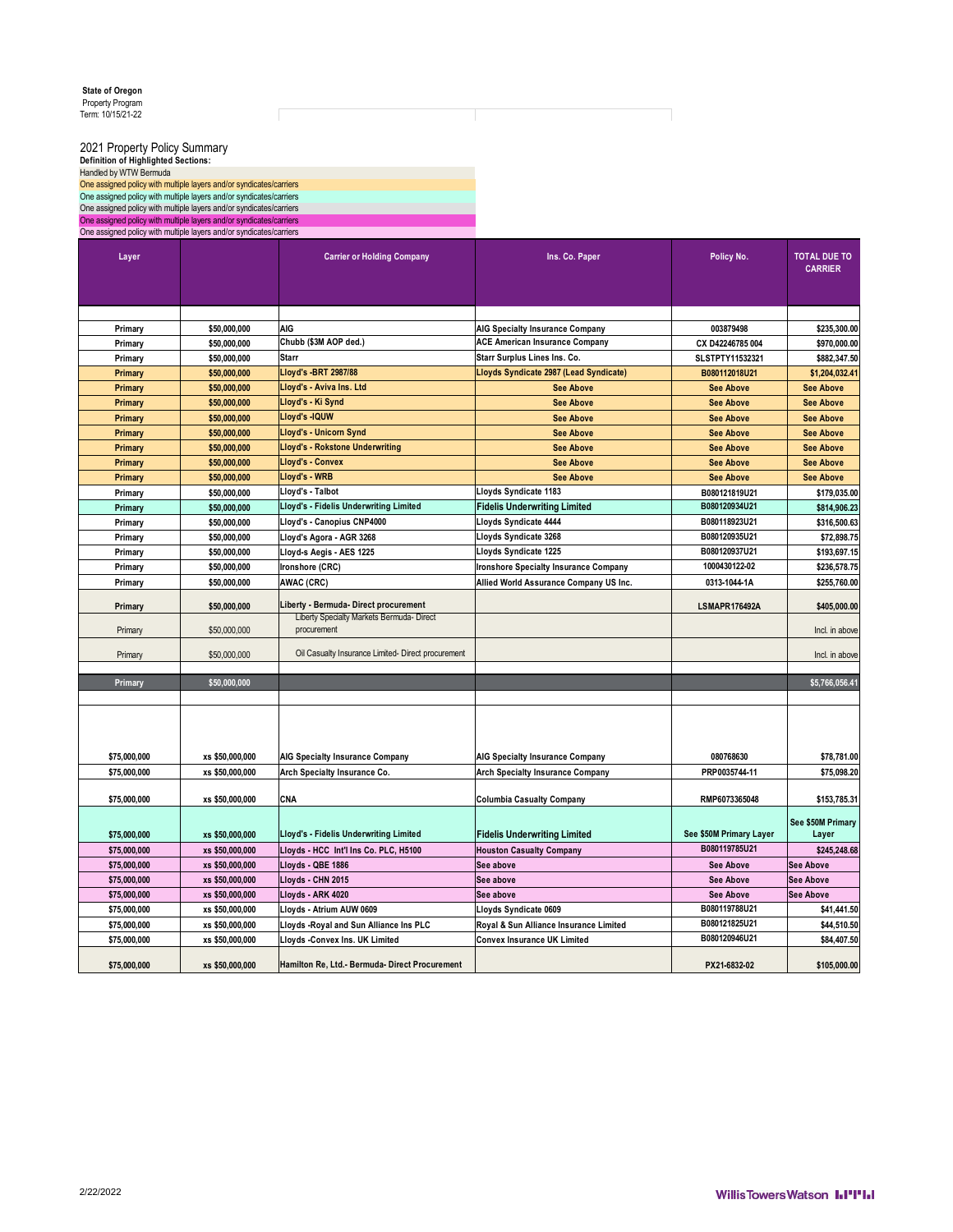2021 Property Policy Summary<br>Definition of Highlighted Sections:<br>Handled by WTW Bermuda<br>One assigned policy with multiple layers and/or syndicates/carriers<br>One assigned policy with multiple layers and/or syndicates/carrier

Г

| Layer        |                 | <b>Carrier or Holding Company</b>                        | Ins. Co. Paper                               | Policy No.              | <b>TOTAL DUE TO</b><br><b>CARRIER</b> |
|--------------|-----------------|----------------------------------------------------------|----------------------------------------------|-------------------------|---------------------------------------|
|              |                 |                                                          |                                              |                         |                                       |
|              |                 |                                                          |                                              |                         |                                       |
| Primary      | \$50,000,000    | <b>AIG</b>                                               | <b>AIG Specialty Insurance Company</b>       | 003879498               | \$235,300.00                          |
| Primary      | \$50,000.000    | Chubb (\$3M AOP ded.)                                    | <b>ACE American Insurance Company</b>        | CX D42246785 004        | \$970.000.00                          |
| Primary      | \$50,000,000    | <b>Starr</b>                                             | Starr Surplus Lines Ins. Co.                 | SLSTPTY11532321         | \$882,347.50                          |
| Primary      | \$50,000,000    | Lloyd's -BRT 2987/88                                     | Lloyds Syndicate 2987 (Lead Syndicate)       | B080112018U21           | \$1,204,032.41                        |
| Primary      | \$50,000,000    | Lloyd's - Aviva Ins. Ltd                                 | <b>See Above</b>                             | <b>See Above</b>        | <b>See Above</b>                      |
| Primary      | \$50,000,000    | Lloyd's - Ki Synd                                        | <b>See Above</b>                             | <b>See Above</b>        | <b>See Above</b>                      |
| Primary      | \$50,000,000    | Lloyd's -IQUW                                            | <b>See Above</b>                             | <b>See Above</b>        | <b>See Above</b>                      |
| Primary      | \$50,000,000    | Lloyd's - Unicorn Synd                                   | <b>See Above</b>                             | <b>See Above</b>        | <b>See Above</b>                      |
| Primary      | \$50,000,000    | <b>Lloyd's - Rokstone Underwriting</b>                   | <b>See Above</b>                             | <b>See Above</b>        | <b>See Above</b>                      |
| Primary      | \$50,000,000    | Lloyd's - Convex                                         | <b>See Above</b>                             | <b>See Above</b>        | <b>See Above</b>                      |
| Primary      | \$50,000,000    | Lloyd's - WRB                                            | <b>See Above</b>                             | <b>See Above</b>        | <b>See Above</b>                      |
| Primary      | \$50,000,000    | Lloyd's - Talbot                                         | Lloyds Syndicate 1183                        | B080121819U21           | \$179,035.00                          |
| Primary      | \$50,000,000    | Lloyd's - Fidelis Underwriting Limited                   | <b>Fidelis Underwriting Limited</b>          | B080120934U21           | \$814,906.23                          |
| Primary      | \$50,000,000    | Lloyd's - Canopius CNP4000                               | Lloyds Syndicate 4444                        | B080118923U21           | \$316,500.63                          |
| Primary      | \$50,000,000    | Lloyd's Agora - AGR 3268                                 | Lloyds Syndicate 3268                        | B080120935U21           | \$72,898.75                           |
| Primary      | \$50,000,000    | Lloyd-s Aegis - AES 1225                                 | Lloyds Syndicate 1225                        | B080120937U21           | \$193,697.15                          |
| Primary      | \$50,000,000    | Ironshore (CRC)                                          | <b>Ironshore Specialty Insurance Company</b> | 1000430122-02           | \$236,578.75                          |
| Primary      | \$50.000.000    | AWAC (CRC)                                               | Allied World Assurance Company US Inc.       | 0313-1044-1A            | \$255.760.00                          |
| Primary      | \$50,000,000    | Liberty - Bermuda- Direct procurement                    |                                              | <b>LSMAPR176492A</b>    | \$405,000.00                          |
| Primary      | \$50,000,000    | Liberty Specialty Markets Bermuda- Direct<br>procurement |                                              |                         | Incl. in above                        |
| Primary      | \$50,000,000    | Oil Casualty Insurance Limited- Direct procurement       |                                              |                         | Incl. in above                        |
| Primary      | \$50,000,000    |                                                          |                                              |                         | \$5,766,056.41                        |
|              |                 |                                                          |                                              |                         |                                       |
|              |                 |                                                          |                                              |                         |                                       |
| \$75,000,000 | xs \$50,000,000 | AIG Specialty Insurance Company                          | <b>AIG Specialty Insurance Company</b>       | 080768630               | \$78,781.00                           |
| \$75,000,000 | xs \$50,000,000 | Arch Specialty Insurance Co.                             | <b>Arch Specialty Insurance Company</b>      | PRP0035744-11           | \$75,098.20                           |
| \$75,000,000 | xs \$50,000,000 | CNA                                                      | <b>Columbia Casualty Company</b>             | RMP6073365048           | \$153,785.31                          |
| \$75,000,000 | xs \$50,000,000 | Lloyd's - Fidelis Underwriting Limited                   | <b>Fidelis Underwriting Limited</b>          | See \$50M Primary Layer | See \$50M Primary<br>Layer            |
| \$75,000,000 | xs \$50,000,000 | Lloyds - HCC Int'l Ins Co. PLC, H5100                    | <b>Houston Casualty Company</b>              | B080119785U21           | \$245,248.68                          |
| \$75,000,000 | xs \$50,000,000 | Lloyds - QBE 1886                                        | See above                                    | <b>See Above</b>        | <b>See Above</b>                      |
| \$75,000,000 | xs \$50,000,000 | Lloyds - CHN 2015                                        | See above                                    | <b>See Above</b>        | <b>See Above</b>                      |
| \$75,000,000 | xs \$50,000,000 | Lloyds - ARK 4020                                        | See above                                    | <b>See Above</b>        | See Above                             |
| \$75,000,000 | xs \$50,000,000 | Lloyds - Atrium AUW 0609                                 | Lloyds Syndicate 0609                        | B080119788U21           | \$41,441.50                           |
| \$75,000,000 | xs \$50,000,000 | Lloyds - Royal and Sun Alliance Ins PLC                  | Royal & Sun Alliance Insurance Limited       | B080121825U21           | \$44.510.50                           |
| \$75,000,000 | xs \$50,000,000 | Lloyds -Convex Ins. UK Limited                           | <b>Convex Insurance UK Limited</b>           | B080120946U21           | \$84.407.50                           |
| \$75,000,000 | xs \$50,000,000 | Hamilton Re. Ltd.- Bermuda- Direct Procurement           |                                              | PX21-6832-02            | \$105,000.00                          |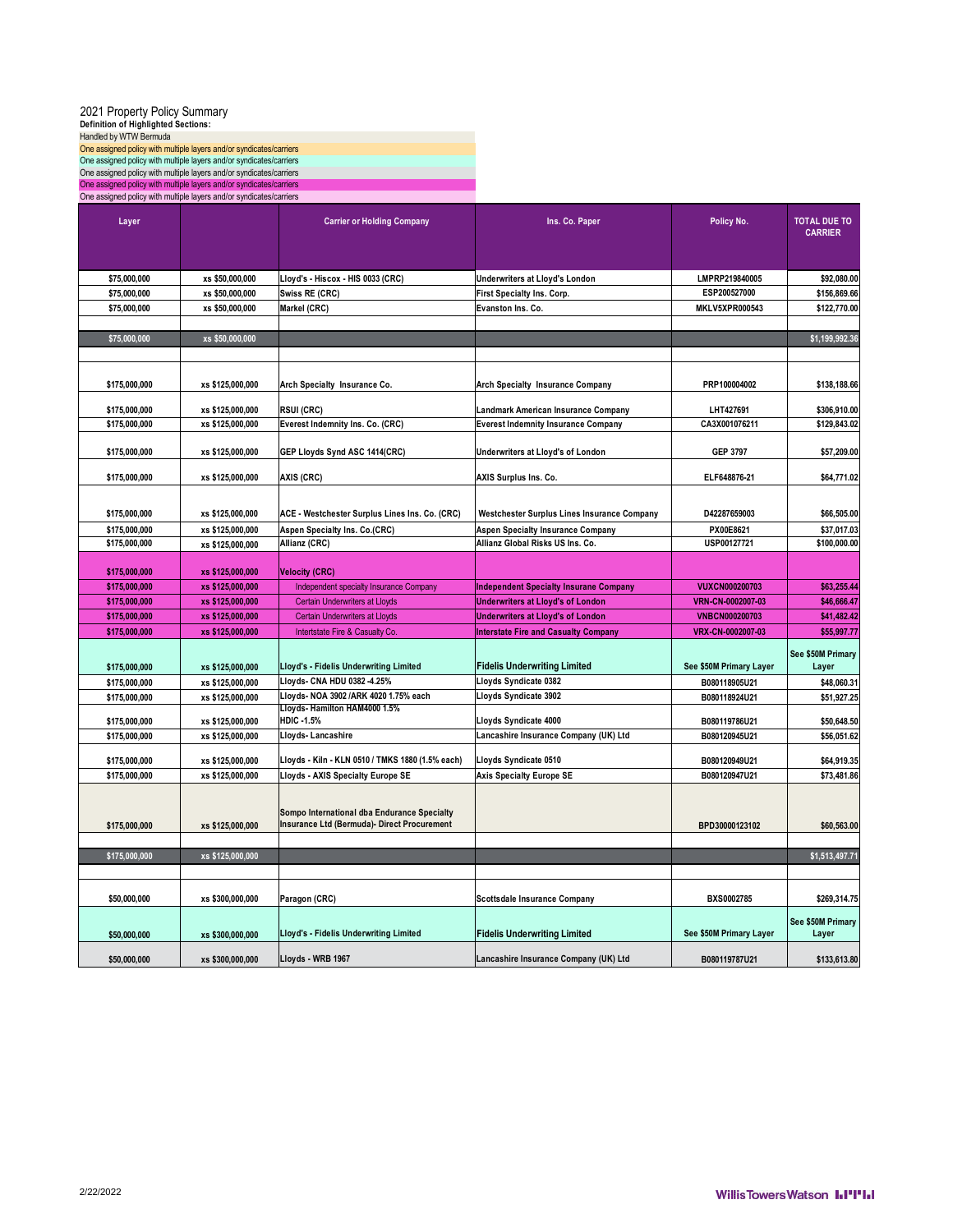| Definition of Highlighted Sections:                                                                                                        | 2021 Property Policy Summary |                                                                                            |                                               |                         |                                       |
|--------------------------------------------------------------------------------------------------------------------------------------------|------------------------------|--------------------------------------------------------------------------------------------|-----------------------------------------------|-------------------------|---------------------------------------|
| Handled by WTW Bermuda                                                                                                                     |                              |                                                                                            |                                               |                         |                                       |
| One assigned policy with multiple layers and/or syndicates/carriers<br>One assigned policy with multiple layers and/or syndicates/carriers |                              |                                                                                            |                                               |                         |                                       |
| One assigned policy with multiple layers and/or syndicates/carriers                                                                        |                              |                                                                                            |                                               |                         |                                       |
| One assigned policy with multiple layers and/or syndicates/carriers                                                                        |                              |                                                                                            |                                               |                         |                                       |
| One assigned policy with multiple layers and/or syndicates/carriers                                                                        |                              |                                                                                            |                                               |                         |                                       |
| Layer                                                                                                                                      |                              | <b>Carrier or Holding Company</b>                                                          | Ins. Co. Paper                                | Policy No.              | <b>TOTAL DUE TO</b><br><b>CARRIER</b> |
| \$75,000,000                                                                                                                               | xs \$50,000,000              | Lloyd's - Hiscox - HIS 0033 (CRC)                                                          | Underwriters at Lloyd's London                | LMPRP219840005          | \$92,080.00                           |
| \$75,000,000                                                                                                                               | xs \$50,000,000              | Swiss RE (CRC)                                                                             | First Specialty Ins. Corp.                    | ESP200527000            | \$156,869.66                          |
| \$75,000,000                                                                                                                               | xs \$50,000,000              | Markel (CRC)                                                                               | Evanston Ins. Co.                             | <b>MKLV5XPR000543</b>   | \$122,770.00                          |
|                                                                                                                                            |                              |                                                                                            |                                               |                         |                                       |
| \$75,000,000                                                                                                                               | xs \$50,000,000              |                                                                                            |                                               |                         | \$1,199,992.36                        |
| \$175,000,000                                                                                                                              | xs \$125,000,000             | Arch Specialty Insurance Co.                                                               | <b>Arch Specialty Insurance Company</b>       | PRP100004002            | \$138,188.66                          |
| \$175,000,000                                                                                                                              | xs \$125,000,000             | <b>RSUI (CRC)</b>                                                                          | Landmark American Insurance Company           | LHT427691               | \$306,910.00                          |
| \$175,000,000                                                                                                                              | xs \$125,000,000             | Everest Indemnity Ins. Co. (CRC)                                                           | <b>Everest Indemnity Insurance Company</b>    | CA3X001076211           | \$129,843.02                          |
|                                                                                                                                            |                              |                                                                                            |                                               |                         |                                       |
| \$175.000.000                                                                                                                              | xs \$125,000,000             | GEP Lloyds Synd ASC 1414(CRC)                                                              | Underwriters at Lloyd's of London             | <b>GEP 3797</b>         | \$57,209.00                           |
| \$175,000,000                                                                                                                              | xs \$125,000,000             | AXIS (CRC)                                                                                 | AXIS Surplus Ins. Co.                         | ELF648876-21            | \$64,771.02                           |
| \$175,000,000                                                                                                                              | xs \$125,000,000             | ACE - Westchester Surplus Lines Ins. Co. (CRC)                                             | Westchester Surplus Lines Insurance Company   | D42287659003            | \$66,505.00                           |
| \$175,000,000                                                                                                                              | xs \$125,000,000             | Aspen Specialty Ins. Co.(CRC)                                                              | <b>Aspen Specialty Insurance Company</b>      | PX00E8621               | \$37,017.03                           |
| \$175,000,000                                                                                                                              | xs \$125,000,000             | Allianz (CRC)                                                                              | Allianz Global Risks US Ins. Co.              | USP00127721             | \$100,000.00                          |
| \$175,000,000                                                                                                                              | xs \$125,000,000             | <b>Velocity (CRC)</b>                                                                      |                                               |                         |                                       |
|                                                                                                                                            |                              |                                                                                            |                                               |                         |                                       |
| \$175,000,000                                                                                                                              | xs \$125,000,000             | Independent specialty Insurance Company                                                    | <b>Independent Specialty Insurane Company</b> | <b>VUXCN000200703</b>   | \$63,255.44                           |
| \$175,000,000                                                                                                                              | xs \$125,000,000             | <b>Certain Underwriters at Lloyds</b>                                                      | <b>Underwriters at Lloyd's of London</b>      | VRN-CN-0002007-03       | \$46,666.47                           |
| \$175,000,000                                                                                                                              | xs \$125,000,000             | <b>Certain Underwriters at Lloyds</b>                                                      | <b>Underwriters at Lloyd's of London</b>      | <b>VNBCN000200703</b>   | \$41,482.42                           |
| \$175,000,000                                                                                                                              | xs \$125,000,000             | Intertstate Fire & Casualty Co.                                                            | <b>Interstate Fire and Casualty Company</b>   | VRX-CN-0002007-03       | \$55,997.77                           |
| \$175,000,000                                                                                                                              | xs \$125,000,000             | Lloyd's - Fidelis Underwriting Limited                                                     | <b>Fidelis Underwriting Limited</b>           | See \$50M Primary Layer | See \$50M Primary<br>Layer            |
| \$175,000,000                                                                                                                              | xs \$125,000,000             | Lloyds- CNA HDU 0382-4.25%                                                                 | Lloyds Syndicate 0382                         | B080118905U21           | \$48,060.31                           |
| \$175,000,000                                                                                                                              | xs \$125,000,000             | Lloyds-NOA 3902 /ARK 4020 1.75% each                                                       | Lloyds Syndicate 3902                         | B080118924U21           | \$51,927.25                           |
|                                                                                                                                            |                              | Lloyds- Hamilton HAM4000 1.5%                                                              |                                               |                         |                                       |
| \$175,000,000                                                                                                                              | xs \$125,000,000             | <b>HDIC-1.5%</b>                                                                           | Lloyds Syndicate 4000                         | B080119786U21           | \$50,648.50                           |
| \$175,000,000                                                                                                                              | xs \$125,000,000             | Lloyds-Lancashire                                                                          | Lancashire Insurance Company (UK) Ltd         | B080120945U21           | \$56,051.62                           |
| \$175,000,000                                                                                                                              | xs \$125,000,000             | Lloyds - Kiln - KLN 0510 / TMKS 1880 (1.5% each)                                           | Lloyds Syndicate 0510                         | B080120949U21           | \$64,919.35                           |
| \$175,000,000                                                                                                                              | xs \$125,000,000             | Lloyds - AXIS Specialty Europe SE                                                          | <b>Axis Specialty Europe SE</b>               | B080120947U21           | \$73,481.86                           |
| \$175,000,000                                                                                                                              | xs \$125,000,000             | Sompo International dba Endurance Specialty<br>Insurance Ltd (Bermuda)- Direct Procurement |                                               | BPD30000123102          | \$60,563.00                           |
| \$175,000,000                                                                                                                              | xs \$125,000,000             |                                                                                            |                                               |                         | \$1,513,497.71                        |
|                                                                                                                                            |                              |                                                                                            |                                               |                         |                                       |
| \$50,000,000                                                                                                                               | xs \$300,000,000             | Paragon (CRC)                                                                              | <b>Scottsdale Insurance Company</b>           | BXS0002785              | \$269,314.75                          |
| \$50,000,000                                                                                                                               | xs \$300,000,000             | Lloyd's - Fidelis Underwriting Limited                                                     | <b>Fidelis Underwriting Limited</b>           | See \$50M Primary Layer | See \$50M Primary<br>Layer            |